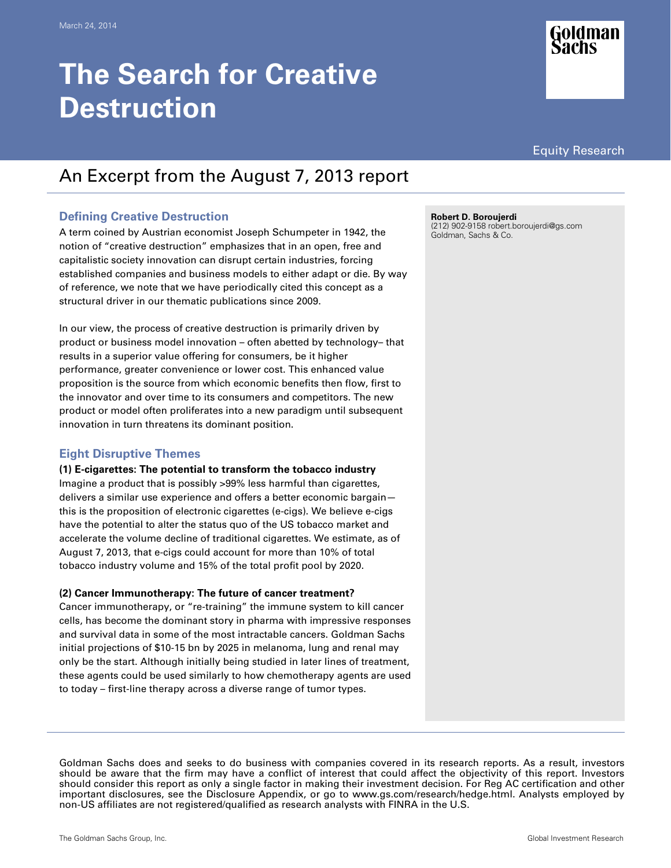# **The Search for Creative Destruction**





# An Excerpt from the August 7, 2013 report

# **Defining Creative Destruction**

A term coined by Austrian economist Joseph Schumpeter in 1942, the notion of "creative destruction" emphasizes that in an open, free and capitalistic society innovation can disrupt certain industries, forcing established companies and business models to either adapt or die. By way of reference, we note that we have periodically cited this concept as a structural driver in our thematic publications since 2009.

In our view, the process of creative destruction is primarily driven by product or business model innovation – often abetted by technology– that results in a superior value offering for consumers, be it higher performance, greater convenience or lower cost. This enhanced value proposition is the source from which economic benefits then flow, first to the innovator and over time to its consumers and competitors. The new product or model often proliferates into a new paradigm until subsequent innovation in turn threatens its dominant position.

# **Eight Disruptive Themes**

# **(1) E-cigarettes: The potential to transform the tobacco industry**

Imagine a product that is possibly >99% less harmful than cigarettes, delivers a similar use experience and offers a better economic bargain this is the proposition of electronic cigarettes (e-cigs). We believe e-cigs have the potential to alter the status quo of the US tobacco market and accelerate the volume decline of traditional cigarettes. We estimate, as of August 7, 2013, that e-cigs could account for more than 10% of total tobacco industry volume and 15% of the total profit pool by 2020.

# **(2) Cancer Immunotherapy: The future of cancer treatment?**

Cancer immunotherapy, or "re-training" the immune system to kill cancer cells, has become the dominant story in pharma with impressive responses and survival data in some of the most intractable cancers. Goldman Sachs initial projections of \$10-15 bn by 2025 in melanoma, lung and renal may only be the start. Although initially being studied in later lines of treatment, these agents could be used similarly to how chemotherapy agents are used to today – first-line therapy across a diverse range of tumor types.

**Robert D. Boroujerdi** 

(212) 902-9158 robert.boroujerdi@gs.com Goldman, Sachs & Co.

Goldman Sachs does and seeks to do business with companies covered in its research reports. As a result, investors should be aware that the firm may have a conflict of interest that could affect the objectivity of this report. Investors should consider this report as only a single factor in making their investment decision. For Reg AC certification and other important disclosures, see the Disclosure Appendix, or go to www.gs.com/research/hedge.html. Analysts employed by non-US affiliates are not registered/qualified as research analysts with FINRA in the U.S.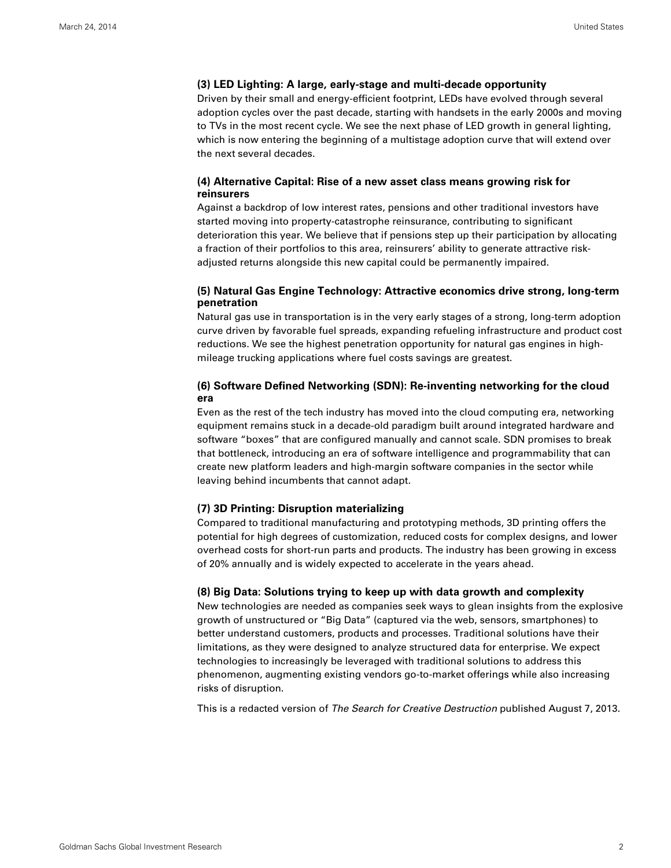#### **(3) LED Lighting: A large, early-stage and multi-decade opportunity**

Driven by their small and energy-efficient footprint, LEDs have evolved through several adoption cycles over the past decade, starting with handsets in the early 2000s and moving to TVs in the most recent cycle. We see the next phase of LED growth in general lighting, which is now entering the beginning of a multistage adoption curve that will extend over the next several decades.

#### **(4) Alternative Capital: Rise of a new asset class means growing risk for reinsurers**

Against a backdrop of low interest rates, pensions and other traditional investors have started moving into property-catastrophe reinsurance, contributing to significant deterioration this year. We believe that if pensions step up their participation by allocating a fraction of their portfolios to this area, reinsurers' ability to generate attractive riskadjusted returns alongside this new capital could be permanently impaired.

## **(5) Natural Gas Engine Technology: Attractive economics drive strong, long-term penetration**

Natural gas use in transportation is in the very early stages of a strong, long-term adoption curve driven by favorable fuel spreads, expanding refueling infrastructure and product cost reductions. We see the highest penetration opportunity for natural gas engines in highmileage trucking applications where fuel costs savings are greatest.

## **(6) Software Defined Networking (SDN): Re-inventing networking for the cloud era**

Even as the rest of the tech industry has moved into the cloud computing era, networking equipment remains stuck in a decade-old paradigm built around integrated hardware and software "boxes" that are configured manually and cannot scale. SDN promises to break that bottleneck, introducing an era of software intelligence and programmability that can create new platform leaders and high-margin software companies in the sector while leaving behind incumbents that cannot adapt.

#### **(7) 3D Printing: Disruption materializing**

Compared to traditional manufacturing and prototyping methods, 3D printing offers the potential for high degrees of customization, reduced costs for complex designs, and lower overhead costs for short-run parts and products. The industry has been growing in excess of 20% annually and is widely expected to accelerate in the years ahead.

#### **(8) Big Data: Solutions trying to keep up with data growth and complexity**

New technologies are needed as companies seek ways to glean insights from the explosive growth of unstructured or "Big Data" (captured via the web, sensors, smartphones) to better understand customers, products and processes. Traditional solutions have their limitations, as they were designed to analyze structured data for enterprise. We expect technologies to increasingly be leveraged with traditional solutions to address this phenomenon, augmenting existing vendors go-to-market offerings while also increasing risks of disruption.

This is a redacted version of The Search for Creative Destruction published August 7, 2013.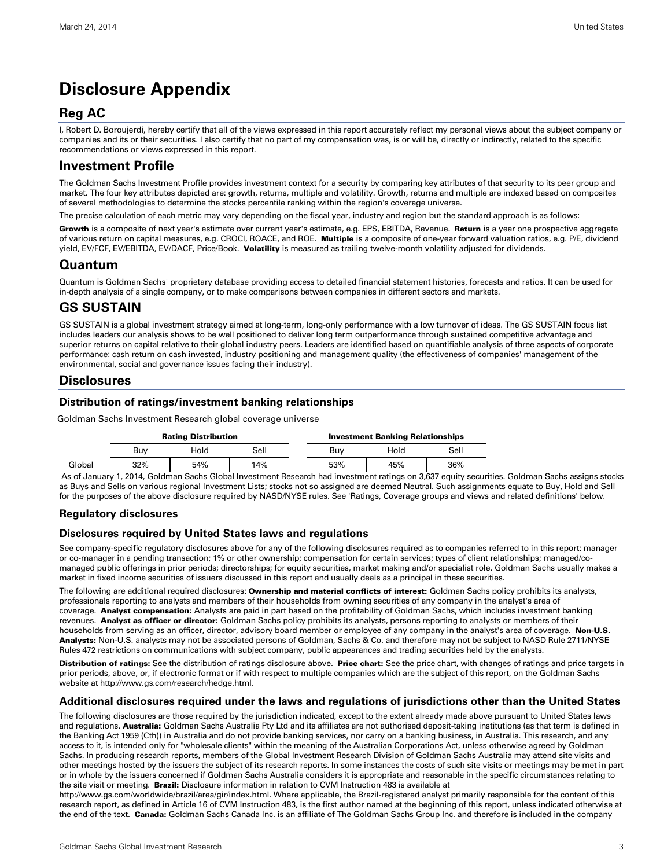# **Disclosure Appendix**

# **Reg AC**

I, Robert D. Boroujerdi, hereby certify that all of the views expressed in this report accurately reflect my personal views about the subject company or companies and its or their securities. I also certify that no part of my compensation was, is or will be, directly or indirectly, related to the specific recommendations or views expressed in this report.

# **Investment Profile**

The Goldman Sachs Investment Profile provides investment context for a security by comparing key attributes of that security to its peer group and market. The four key attributes depicted are: growth, returns, multiple and volatility. Growth, returns and multiple are indexed based on composites of several methodologies to determine the stocks percentile ranking within the region's coverage universe.

The precise calculation of each metric may vary depending on the fiscal year, industry and region but the standard approach is as follows:

Growth is a composite of next year's estimate over current year's estimate, e.g. EPS, EBITDA, Revenue. Return is a year one prospective aggregate of various return on capital measures, e.g. CROCI, ROACE, and ROE. Multiple is a composite of one-year forward valuation ratios, e.g. P/E, dividend yield, EV/FCF, EV/EBITDA, EV/DACF, Price/Book. Volatility is measured as trailing twelve-month volatility adjusted for dividends.

# **Quantum**

Quantum is Goldman Sachs' proprietary database providing access to detailed financial statement histories, forecasts and ratios. It can be used for in-depth analysis of a single company, or to make comparisons between companies in different sectors and markets.

# **GS SUSTAIN**

GS SUSTAIN is a global investment strategy aimed at long-term, long-only performance with a low turnover of ideas. The GS SUSTAIN focus list includes leaders our analysis shows to be well positioned to deliver long term outperformance through sustained competitive advantage and superior returns on capital relative to their global industry peers. Leaders are identified based on quantifiable analysis of three aspects of corporate performance: cash return on cash invested, industry positioning and management quality (the effectiveness of companies' management of the environmental, social and governance issues facing their industry).

# **Disclosures**

## **Distribution of ratings/investment banking relationships**

Goldman Sachs Investment Research global coverage universe

|        | <b>Rating Distribution</b> |      |      | <b>Investment Banking Relationships</b> |      |      |
|--------|----------------------------|------|------|-----------------------------------------|------|------|
|        | Buv                        | Hold | Sell | Buv                                     | Hold | Sell |
| Global | 32%                        | 54%  | 14%  | 53%                                     | 45%  | 36%  |

 As of January 1, 2014, Goldman Sachs Global Investment Research had investment ratings on 3,637 equity securities. Goldman Sachs assigns stocks as Buys and Sells on various regional Investment Lists; stocks not so assigned are deemed Neutral. Such assignments equate to Buy, Hold and Sell for the purposes of the above disclosure required by NASD/NYSE rules. See 'Ratings, Coverage groups and views and related definitions' below.

# **Regulatory disclosures**

#### **Disclosures required by United States laws and regulations**

See company-specific regulatory disclosures above for any of the following disclosures required as to companies referred to in this report: manager or co-manager in a pending transaction; 1% or other ownership; compensation for certain services; types of client relationships; managed/comanaged public offerings in prior periods; directorships; for equity securities, market making and/or specialist role. Goldman Sachs usually makes a market in fixed income securities of issuers discussed in this report and usually deals as a principal in these securities.

The following are additional required disclosures: Ownership and material conflicts of interest: Goldman Sachs policy prohibits its analysts, professionals reporting to analysts and members of their households from owning securities of any company in the analyst's area of coverage. Analyst compensation: Analysts are paid in part based on the profitability of Goldman Sachs, which includes investment banking revenues. Analyst as officer or director: Goldman Sachs policy prohibits its analysts, persons reporting to analysts or members of their households from serving as an officer, director, advisory board member or employee of any company in the analyst's area of coverage. Non-U.S. Analysts: Non-U.S. analysts may not be associated persons of Goldman, Sachs & Co. and therefore may not be subject to NASD Rule 2711/NYSE Rules 472 restrictions on communications with subject company, public appearances and trading securities held by the analysts.

Distribution of ratings: See the distribution of ratings disclosure above. Price chart: See the price chart, with changes of ratings and price targets in prior periods, above, or, if electronic format or if with respect to multiple companies which are the subject of this report, on the Goldman Sachs website at http://www.gs.com/research/hedge.html.

#### **Additional disclosures required under the laws and regulations of jurisdictions other than the United States**

The following disclosures are those required by the jurisdiction indicated, except to the extent already made above pursuant to United States laws and regulations. Australia: Goldman Sachs Australia Pty Ltd and its affiliates are not authorised deposit-taking institutions (as that term is defined in the Banking Act 1959 (Cth)) in Australia and do not provide banking services, nor carry on a banking business, in Australia. This research, and any access to it, is intended only for "wholesale clients" within the meaning of the Australian Corporations Act, unless otherwise agreed by Goldman Sachs. In producing research reports, members of the Global Investment Research Division of Goldman Sachs Australia may attend site visits and other meetings hosted by the issuers the subject of its research reports. In some instances the costs of such site visits or meetings may be met in part or in whole by the issuers concerned if Goldman Sachs Australia considers it is appropriate and reasonable in the specific circumstances relating to the site visit or meeting. Brazil: Disclosure information in relation to CVM Instruction 483 is available at

http://www.gs.com/worldwide/brazil/area/gir/index.html. Where applicable, the Brazil-registered analyst primarily responsible for the content of this research report, as defined in Article 16 of CVM Instruction 483, is the first author named at the beginning of this report, unless indicated otherwise at the end of the text. Canada: Goldman Sachs Canada Inc. is an affiliate of The Goldman Sachs Group Inc. and therefore is included in the company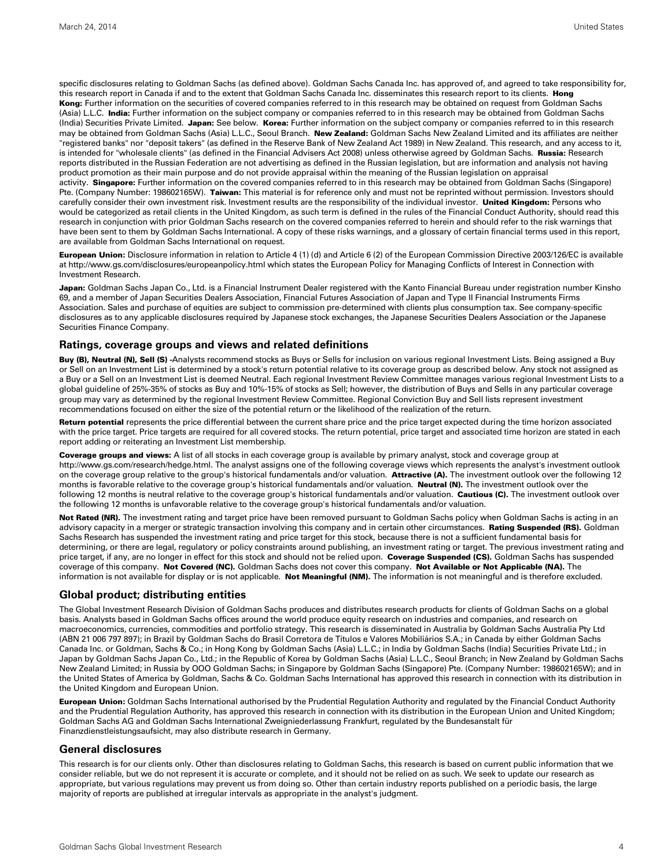specific disclosures relating to Goldman Sachs (as defined above). Goldman Sachs Canada Inc. has approved of, and agreed to take responsibility for, this research report in Canada if and to the extent that Goldman Sachs Canada Inc. disseminates this research report to its clients. Hong Kong: Further information on the securities of covered companies referred to in this research may be obtained on request from Goldman Sachs (Asia) L.L.C. India: Further information on the subject company or companies referred to in this research may be obtained from Goldman Sachs (India) Securities Private Limited. Japan: See below. Korea: Further information on the subject company or companies referred to in this research may be obtained from Goldman Sachs (Asia) L.L.C., Seoul Branch. New Zealand: Goldman Sachs New Zealand Limited and its affiliates are neither "registered banks" nor "deposit takers" (as defined in the Reserve Bank of New Zealand Act 1989) in New Zealand. This research, and any access to it, is intended for "wholesale clients" (as defined in the Financial Advisers Act 2008) unless otherwise agreed by Goldman Sachs. Russia: Research reports distributed in the Russian Federation are not advertising as defined in the Russian legislation, but are information and analysis not having product promotion as their main purpose and do not provide appraisal within the meaning of the Russian legislation on appraisal activity. Singapore: Further information on the covered companies referred to in this research may be obtained from Goldman Sachs (Singapore) Pte. (Company Number: 198602165W). Taiwan: This material is for reference only and must not be reprinted without permission. Investors should carefully consider their own investment risk. Investment results are the responsibility of the individual investor. United Kingdom: Persons who would be categorized as retail clients in the United Kingdom, as such term is defined in the rules of the Financial Conduct Authority, should read this research in conjunction with prior Goldman Sachs research on the covered companies referred to herein and should refer to the risk warnings that have been sent to them by Goldman Sachs International. A copy of these risks warnings, and a glossary of certain financial terms used in this report, are available from Goldman Sachs International on request.

European Union: Disclosure information in relation to Article 4 (1) (d) and Article 6 (2) of the European Commission Directive 2003/126/EC is available at http://www.gs.com/disclosures/europeanpolicy.html which states the European Policy for Managing Conflicts of Interest in Connection with Investment Research.

Japan: Goldman Sachs Japan Co., Ltd. is a Financial Instrument Dealer registered with the Kanto Financial Bureau under registration number Kinsho 69, and a member of Japan Securities Dealers Association, Financial Futures Association of Japan and Type II Financial Instruments Firms Association. Sales and purchase of equities are subject to commission pre-determined with clients plus consumption tax. See company-specific disclosures as to any applicable disclosures required by Japanese stock exchanges, the Japanese Securities Dealers Association or the Japanese Securities Finance Company.

#### **Ratings, coverage groups and views and related definitions**

Buy (B), Neutral (N), Sell (S) -Analysts recommend stocks as Buys or Sells for inclusion on various regional Investment Lists. Being assigned a Buy or Sell on an Investment List is determined by a stock's return potential relative to its coverage group as described below. Any stock not assigned as a Buy or a Sell on an Investment List is deemed Neutral. Each regional Investment Review Committee manages various regional Investment Lists to a global guideline of 25%-35% of stocks as Buy and 10%-15% of stocks as Sell; however, the distribution of Buys and Sells in any particular coverage group may vary as determined by the regional Investment Review Committee. Regional Conviction Buy and Sell lists represent investment recommendations focused on either the size of the potential return or the likelihood of the realization of the return.

Return potential represents the price differential between the current share price and the price target expected during the time horizon associated with the price target. Price targets are required for all covered stocks. The return potential, price target and associated time horizon are stated in each report adding or reiterating an Investment List membership.

Coverage groups and views: A list of all stocks in each coverage group is available by primary analyst, stock and coverage group at http://www.gs.com/research/hedge.html. The analyst assigns one of the following coverage views which represents the analyst's investment outlook on the coverage group relative to the group's historical fundamentals and/or valuation. Attractive (A). The investment outlook over the following 12 months is favorable relative to the coverage group's historical fundamentals and/or valuation. Neutral (N). The investment outlook over the following 12 months is neutral relative to the coverage group's historical fundamentals and/or valuation. Cautious (C). The investment outlook over the following 12 months is unfavorable relative to the coverage group's historical fundamentals and/or valuation.

Not Rated (NR). The investment rating and target price have been removed pursuant to Goldman Sachs policy when Goldman Sachs is acting in an advisory capacity in a merger or strategic transaction involving this company and in certain other circumstances. Rating Suspended (RS). Goldman Sachs Research has suspended the investment rating and price target for this stock, because there is not a sufficient fundamental basis for determining, or there are legal, regulatory or policy constraints around publishing, an investment rating or target. The previous investment rating and price target, if any, are no longer in effect for this stock and should not be relied upon. Coverage Suspended (CS). Goldman Sachs has suspended coverage of this company. Not Covered (NC). Goldman Sachs does not cover this company. Not Available or Not Applicable (NA). The information is not available for display or is not applicable. Not Meaningful (NM). The information is not meaningful and is therefore excluded.

#### **Global product; distributing entities**

The Global Investment Research Division of Goldman Sachs produces and distributes research products for clients of Goldman Sachs on a global basis. Analysts based in Goldman Sachs offices around the world produce equity research on industries and companies, and research on macroeconomics, currencies, commodities and portfolio strategy. This research is disseminated in Australia by Goldman Sachs Australia Pty Ltd (ABN 21 006 797 897); in Brazil by Goldman Sachs do Brasil Corretora de Títulos e Valores Mobiliários S.A.; in Canada by either Goldman Sachs Canada Inc. or Goldman, Sachs & Co.; in Hong Kong by Goldman Sachs (Asia) L.L.C.; in India by Goldman Sachs (India) Securities Private Ltd.; in Japan by Goldman Sachs Japan Co., Ltd.; in the Republic of Korea by Goldman Sachs (Asia) L.L.C., Seoul Branch; in New Zealand by Goldman Sachs New Zealand Limited; in Russia by OOO Goldman Sachs; in Singapore by Goldman Sachs (Singapore) Pte. (Company Number: 198602165W); and in the United States of America by Goldman, Sachs & Co. Goldman Sachs International has approved this research in connection with its distribution in the United Kingdom and European Union.

European Union: Goldman Sachs International authorised by the Prudential Regulation Authority and regulated by the Financial Conduct Authority and the Prudential Regulation Authority, has approved this research in connection with its distribution in the European Union and United Kingdom; Goldman Sachs AG and Goldman Sachs International Zweigniederlassung Frankfurt, regulated by the Bundesanstalt für Finanzdienstleistungsaufsicht, may also distribute research in Germany.

#### **General disclosures**

This research is for our clients only. Other than disclosures relating to Goldman Sachs, this research is based on current public information that we consider reliable, but we do not represent it is accurate or complete, and it should not be relied on as such. We seek to update our research as appropriate, but various regulations may prevent us from doing so. Other than certain industry reports published on a periodic basis, the large majority of reports are published at irregular intervals as appropriate in the analyst's judgment.